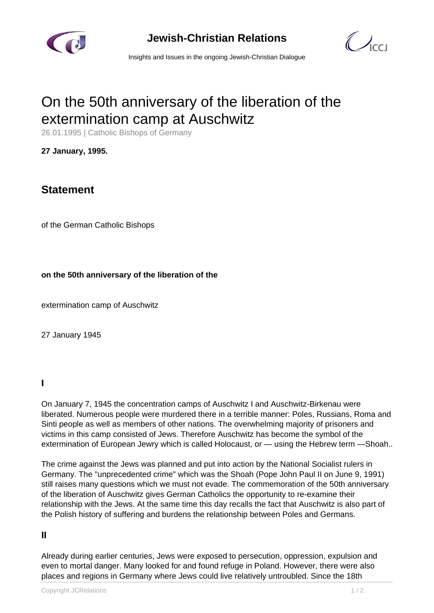

**Jewish-Christian Relations**

 $\bigcirc$ 

Insights and Issues in the ongoing Jewish-Christian Dialogue

# On the 50th anniversary of the liberation of the extermination camp at Auschwitz

26.01.1995 | Catholic Bishops of Germany

**27 January, 1995.**

# **Statement**

of the German Catholic Bishops

**on the 50th anniversary of the liberation of the**

extermination camp of Auschwitz

27 January 1945

## **I**

On January 7, 1945 the concentration camps of Auschwitz I and Auschwitz-Birkenau were liberated. Numerous people were murdered there in a terrible manner: Poles, Russians, Roma and Sinti people as well as members of other nations. The overwhelming majority of prisoners and victims in this camp consisted of Jews. Therefore Auschwitz has become the symbol of the extermination of European Jewry which is called Holocaust, or — using the Hebrew term —Shoah..

The crime against the Jews was planned and put into action by the National Socialist rulers in Germany. The "unprecedented crime" which was the Shoah (Pope John Paul II on June 9, 1991) still raises many questions which we must not evade. The commemoration of the 50th anniversary of the liberation of Auschwitz gives German Catholics the opportunity to re-examine their relationship with the Jews. At the same time this day recalls the fact that Auschwitz is also part of the Polish history of suffering and burdens the relationship between Poles and Germans.

## **II**

Already during earlier centuries, Jews were exposed to persecution, oppression, expulsion and even to mortal danger. Many looked for and found refuge in Poland. However, there were also places and regions in Germany where Jews could live relatively untroubled. Since the 18th